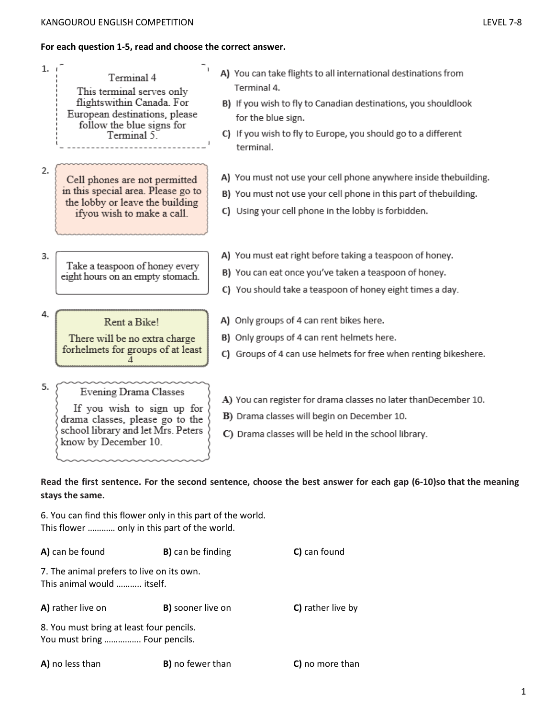# **For each question 1-5, read and choose the correct answer.**

| 1.7 | Terminal 4<br>This terminal serves only<br>flightswithin Canada. For<br>European destinations, please<br>follow the blue signs for<br>Terminal 5.    | A) You can take flights to all international destinations from<br>Terminal 4.<br>B) If you wish to fly to Canadian destinations, you shouldlook<br>for the blue sign.<br>C) If you wish to fly to Europe, you should go to a different<br>terminal. |
|-----|------------------------------------------------------------------------------------------------------------------------------------------------------|-----------------------------------------------------------------------------------------------------------------------------------------------------------------------------------------------------------------------------------------------------|
| 2.  | Cell phones are not permitted<br>in this special area. Please go to<br>the lobby or leave the building<br>ifyou wish to make a call.                 | A) You must not use your cell phone anywhere inside thebuilding.<br>B) You must not use your cell phone in this part of thebuilding.<br>C) Using your cell phone in the lobby is forbidden.                                                         |
| 3.  | Take a teaspoon of honey every<br>eight hours on an empty stomach.                                                                                   | A) You must eat right before taking a teaspoon of honey.<br>B) You can eat once you've taken a teaspoon of honey.<br>C) You should take a teaspoon of honey eight times a day.                                                                      |
| 4.  | Rent a Bike!<br>There will be no extra charge<br>forhelmets for groups of at least                                                                   | A) Only groups of 4 can rent bikes here.<br>B) Only groups of 4 can rent helmets here.<br>C) Groups of 4 can use helmets for free when renting bikeshere.                                                                                           |
| 5.  | Evening Drama Classes<br>If you wish to sign up for<br>drama classes, please go to the<br>school library and let Mrs. Peters<br>know by December 10. | A) You can register for drama classes no later thanDecember 10.<br>B) Drama classes will begin on December 10.<br>C) Drama classes will be held in the school library.                                                                              |
|     | stays the same.                                                                                                                                      | Read the first sentence. For the second sentence, choose the best answer for each gap (6-10)so that the meaning                                                                                                                                     |
|     | 6. You can find this flower only in this part of the world.<br>This flower  only in this part of the world.                                          |                                                                                                                                                                                                                                                     |
|     | A) can be found<br><b>B)</b> can be finding                                                                                                          | C) can found                                                                                                                                                                                                                                        |
|     | 7. The animal prefers to live on its own.<br>This animal would  itself.                                                                              |                                                                                                                                                                                                                                                     |
|     | A) rather live on<br>B) sooner live on                                                                                                               | C) rather live by                                                                                                                                                                                                                                   |
|     | 8. You must bring at least four pencils.<br>You must bring  Four pencils.                                                                            |                                                                                                                                                                                                                                                     |

**A)** no less than **B)** no fewer than **C)** no more than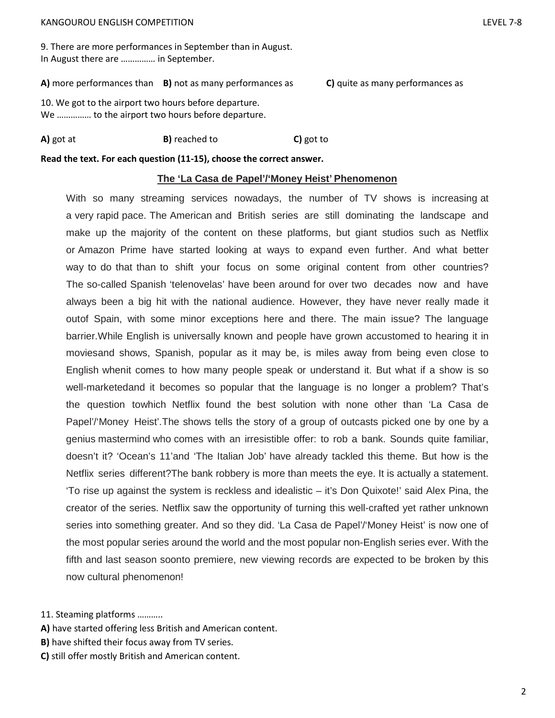9. There are more performances in September than in August. In August there are …………… in September.

**A)** more performances than **B)** not as many performances as **C)** quite as many performances as

10. We got to the airport two hours before departure. We …………… to the airport two hours before departure.

## **A)** got at **B)** reached to **C)** got to

**Read the text. For each question (11-15), choose the correct answer.** 

### **The 'La Casa de Papel'/'Money Heist' Phenomenon**

With so many streaming services nowadays, the number of TV shows is increasing at a very rapid pace. The American and British series are still dominating the landscape and make up the majority of the content on these platforms, but giant studios such as Netflix or Amazon Prime have started looking at ways to expand even further. And what better way to do that than to shift your focus on some original content from other countries? The so-called Spanish 'telenovelas' have been around for over two decades now and have always been a big hit with the national audience. However, they have never really made it outof Spain, with some minor exceptions here and there. The main issue? The language barrier.While English is universally known and people have grown accustomed to hearing it in moviesand shows, Spanish, popular as it may be, is miles away from being even close to English whenit comes to how many people speak or understand it. But what if a show is so well-marketedand it becomes so popular that the language is no longer a problem? That's the question towhich Netflix found the best solution with none other than 'La Casa de Papel'/'Money Heist'.The shows tells the story of a group of outcasts picked one by one by a genius mastermind who comes with an irresistible offer: to rob a bank. Sounds quite familiar, doesn't it? 'Ocean's 11'and 'The Italian Job' have already tackled this theme. But how is the Netflix series different?The bank robbery is more than meets the eye. It is actually a statement. 'To rise up against the system is reckless and idealistic – it's Don Quixote!' said Alex Pina, the creator of the series. Netflix saw the opportunity of turning this well-crafted yet rather unknown series into something greater. And so they did. 'La Casa de Papel'/'Money Heist' is now one of the most popular series around the world and the most popular non-English series ever. With the fifth and last season soonto premiere, new viewing records are expected to be broken by this now cultural phenomenon!

11. Steaming platforms ………..

- **A)** have started offering less British and American content.
- **B)** have shifted their focus away from TV series.
- **C)** still offer mostly British and American content.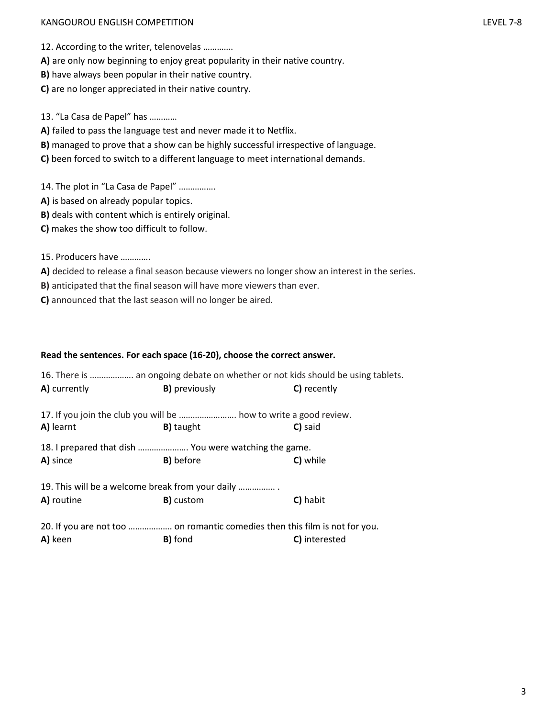### KANGOUROU ENGLISH COMPETITION LEVEL 7-8

12. According to the writer, telenovelas ………….

**A)** are only now beginning to enjoy great popularity in their native country.

**B)** have always been popular in their native country.

**C)** are no longer appreciated in their native country.

13. "La Casa de Papel" has …………

**A)** failed to pass the language test and never made it to Netflix.

**B)** managed to prove that a show can be highly successful irrespective of language.

**C)** been forced to switch to a different language to meet international demands.

14. The plot in "La Casa de Papel" …………….

- **A)** is based on already popular topics.
- **B)** deals with content which is entirely original.
- **C)** makes the show too difficult to follow.
- 15. Producers have ………….
- **A)** decided to release a final season because viewers no longer show an interest in the series.
- **B)** anticipated that the final season will have more viewers than ever.

**C)** announced that the last season will no longer be aired.

#### **Read the sentences. For each space (16-20), choose the correct answer.**

| A) currently                                                                | 16. There is  an ongoing debate on whether or not kids should be using tablets.<br><b>B)</b> previously<br>C) recently |               |  |  |  |  |
|-----------------------------------------------------------------------------|------------------------------------------------------------------------------------------------------------------------|---------------|--|--|--|--|
|                                                                             |                                                                                                                        |               |  |  |  |  |
| 17. If you join the club you will be  how to write a good review.           |                                                                                                                        |               |  |  |  |  |
| A) learnt                                                                   | <b>B)</b> taught                                                                                                       | C) said       |  |  |  |  |
| 18. I prepared that dish  You were watching the game.                       |                                                                                                                        |               |  |  |  |  |
| A) since                                                                    | <b>B)</b> before                                                                                                       | C) while      |  |  |  |  |
| 19. This will be a welcome break from your daily                            |                                                                                                                        |               |  |  |  |  |
| A) routine                                                                  | <b>B)</b> custom                                                                                                       | C) habit      |  |  |  |  |
| 20. If you are not too  on romantic comedies then this film is not for you. |                                                                                                                        |               |  |  |  |  |
| A) keen                                                                     | <b>B)</b> fond                                                                                                         | C) interested |  |  |  |  |